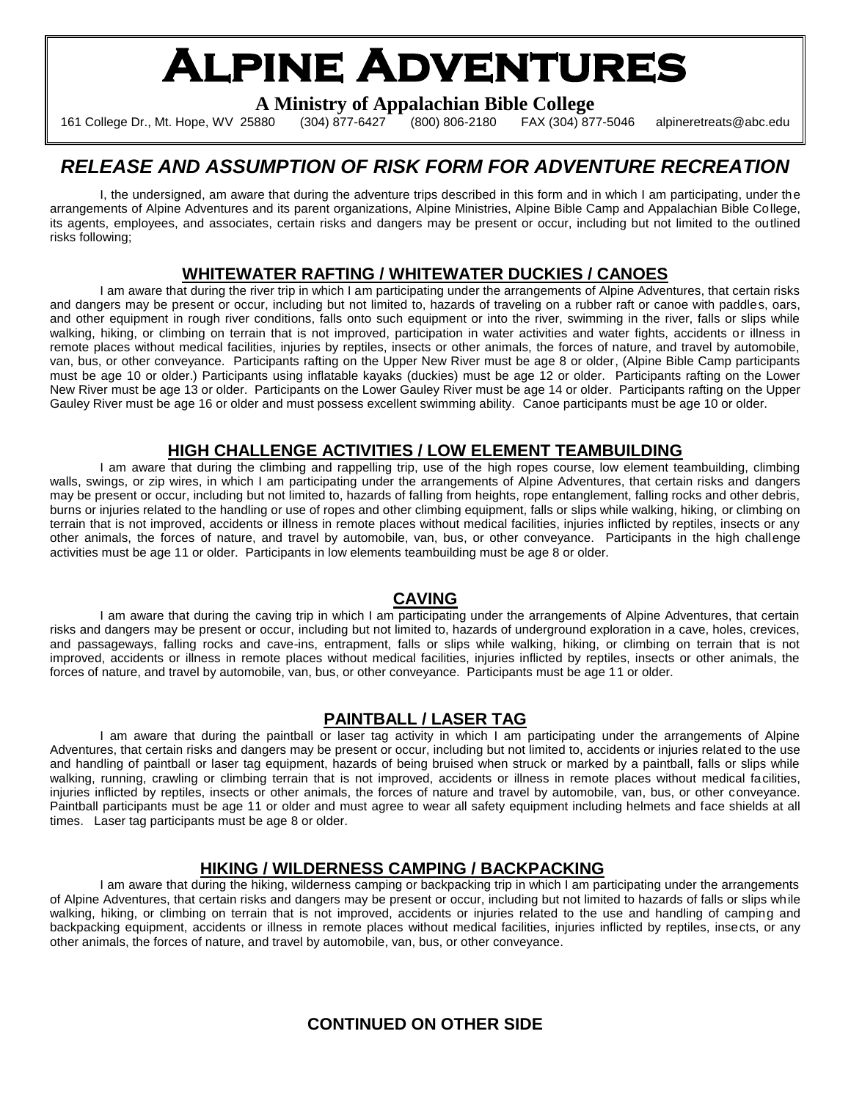# **Alpine Adventures**

**A Ministry of Appalachian Bible College**

161 College Dr., Mt. Hope, WV 25880 (304) 877-6427 (800) 806-2180 FAX (304) 877-5046 alpineretreats@abc.edu

# *RELEASE AND ASSUMPTION OF RISK FORM FOR ADVENTURE RECREATION*

I, the undersigned, am aware that during the adventure trips described in this form and in which I am participating, under the arrangements of Alpine Adventures and its parent organizations, Alpine Ministries, Alpine Bible Camp and Appalachian Bible College, its agents, employees, and associates, certain risks and dangers may be present or occur, including but not limited to the outlined risks following;

# **WHITEWATER RAFTING / WHITEWATER DUCKIES / CANOES**

I am aware that during the river trip in which I am participating under the arrangements of Alpine Adventures, that certain risks and dangers may be present or occur, including but not limited to, hazards of traveling on a rubber raft or canoe with paddles, oars, and other equipment in rough river conditions, falls onto such equipment or into the river, swimming in the river, falls or slips while walking, hiking, or climbing on terrain that is not improved, participation in water activities and water fights, accidents or illness in remote places without medical facilities, injuries by reptiles, insects or other animals, the forces of nature, and travel by automobile, van, bus, or other conveyance. Participants rafting on the Upper New River must be age 8 or older, (Alpine Bible Camp participants must be age 10 or older.) Participants using inflatable kayaks (duckies) must be age 12 or older. Participants rafting on the Lower New River must be age 13 or older. Participants on the Lower Gauley River must be age 14 or older. Participants rafting on the Upper Gauley River must be age 16 or older and must possess excellent swimming ability. Canoe participants must be age 10 or older.

### **HIGH CHALLENGE ACTIVITIES / LOW ELEMENT TEAMBUILDING**

I am aware that during the climbing and rappelling trip, use of the high ropes course, low element teambuilding, climbing walls, swings, or zip wires, in which I am participating under the arrangements of Alpine Adventures, that certain risks and dangers may be present or occur, including but not limited to, hazards of falling from heights, rope entanglement, falling rocks and other debris, burns or injuries related to the handling or use of ropes and other climbing equipment, falls or slips while walking, hiking, or climbing on terrain that is not improved, accidents or illness in remote places without medical facilities, injuries inflicted by reptiles, insects or any other animals, the forces of nature, and travel by automobile, van, bus, or other conveyance. Participants in the high challenge activities must be age 11 or older. Participants in low elements teambuilding must be age 8 or older.

#### **CAVING**

I am aware that during the caving trip in which I am participating under the arrangements of Alpine Adventures, that certain risks and dangers may be present or occur, including but not limited to, hazards of underground exploration in a cave, holes, crevices, and passageways, falling rocks and cave-ins, entrapment, falls or slips while walking, hiking, or climbing on terrain that is not improved, accidents or illness in remote places without medical facilities, injuries inflicted by reptiles, insects or other animals, the forces of nature, and travel by automobile, van, bus, or other conveyance. Participants must be age 11 or older.

#### **PAINTBALL / LASER TAG**

I am aware that during the paintball or laser tag activity in which I am participating under the arrangements of Alpine Adventures, that certain risks and dangers may be present or occur, including but not limited to, accidents or injuries related to the use and handling of paintball or laser tag equipment, hazards of being bruised when struck or marked by a paintball, falls or slips while walking, running, crawling or climbing terrain that is not improved, accidents or illness in remote places without medical facilities, injuries inflicted by reptiles, insects or other animals, the forces of nature and travel by automobile, van, bus, or other convevance, Paintball participants must be age 11 or older and must agree to wear all safety equipment including helmets and face shields at all times. Laser tag participants must be age 8 or older.

#### **HIKING / WILDERNESS CAMPING / BACKPACKING**

I am aware that during the hiking, wilderness camping or backpacking trip in which I am participating under the arrangements of Alpine Adventures, that certain risks and dangers may be present or occur, including but not limited to hazards of falls or slips while walking, hiking, or climbing on terrain that is not improved, accidents or injuries related to the use and handling of camping and backpacking equipment, accidents or illness in remote places without medical facilities, injuries inflicted by reptiles, insects, or any other animals, the forces of nature, and travel by automobile, van, bus, or other conveyance.

# **CONTINUED ON OTHER SIDE**